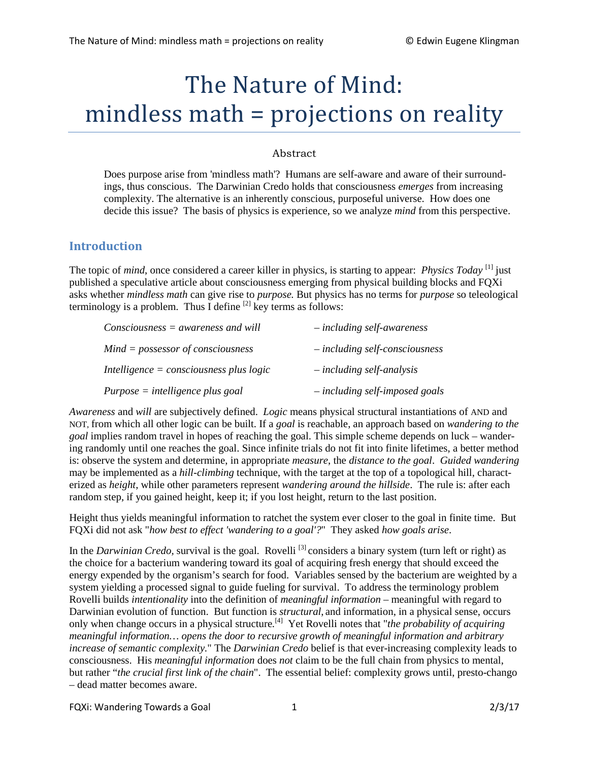# The Nature of Mind: mindless math = projections on reality

#### Abstract

Does purpose arise from 'mindless math'? Humans are self-aware and aware of their surroundings, thus conscious. The Darwinian Credo holds that consciousness *emerges* from increasing complexity. The alternative is an inherently conscious, purposeful universe. How does one decide this issue? The basis of physics is experience, so we analyze *mind* from this perspective.

#### **Introduction**

The topic of *mind*, once considered a career killer in physics, is starting to appear: *Physics Today* [1] just published a speculative article about consciousness emerging from physical building blocks and FQXi asks whether *mindless math* can give rise to *purpose.* But physics has no terms for *purpose* so teleological terminology is a problem. Thus I define  $^{[2]}$  key terms as follows:

| $Consciousness = awareness$ and will      | $-$ including self-awareness     |
|-------------------------------------------|----------------------------------|
| $Mind = possessor$ of consciousness       | $-$ including self-consciousness |
| Intelligence $=$ consciousness plus logic | - including self-analysis        |
| $Purpose = intelligence plus goal$        | $-$ including self-imposed goals |

*Awareness* and *will* are subjectively defined. *Logic* means physical structural instantiations of AND and NOT, from which all other logic can be built. If a *goal* is reachable, an approach based on *wandering to the goal* implies random travel in hopes of reaching the goal. This simple scheme depends on luck – wandering randomly until one reaches the goal. Since infinite trials do not fit into finite lifetimes, a better method is: observe the system and determine, in appropriate *measure*, the *distance to the goal*. *Guided wandering* may be implemented as a *hill-climbing* technique, with the target at the top of a topological hill, characterized as *height*, while other parameters represent *wandering around the hillside*. The rule is: after each random step, if you gained height, keep it; if you lost height, return to the last position.

Height thus yields meaningful information to ratchet the system ever closer to the goal in finite time. But FQXi did not ask "*how best to effect 'wandering to a goal'?*" They asked *how goals arise*.

In the *Darwinian Credo*, survival is the goal. Rovelli<sup>[3]</sup> considers a binary system (turn left or right) as the choice for a bacterium wandering toward its goal of acquiring fresh energy that should exceed the energy expended by the organism's search for food. Variables sensed by the bacterium are weighted by a system yielding a processed signal to guide fueling for survival. To address the terminology problem Rovelli builds *intentionality* into the definition of *meaningful information* – meaningful with regard to Darwinian evolution of function. But function is *structural*, and information, in a physical sense, occurs only when change occurs in a physical structure*.* [4] Yet Rovelli notes that "*the probability of acquiring meaningful information… opens the door to recursive growth of meaningful information and arbitrary increase of semantic complexity.*" The *Darwinian Credo* belief is that ever-increasing complexity leads to consciousness. His *meaningful information* does *not* claim to be the full chain from physics to mental, but rather "*the crucial first link of the chain*". The essential belief: complexity grows until, presto-chango – dead matter becomes aware.

FQXi: Wandering Towards a Goal 1 2/3/17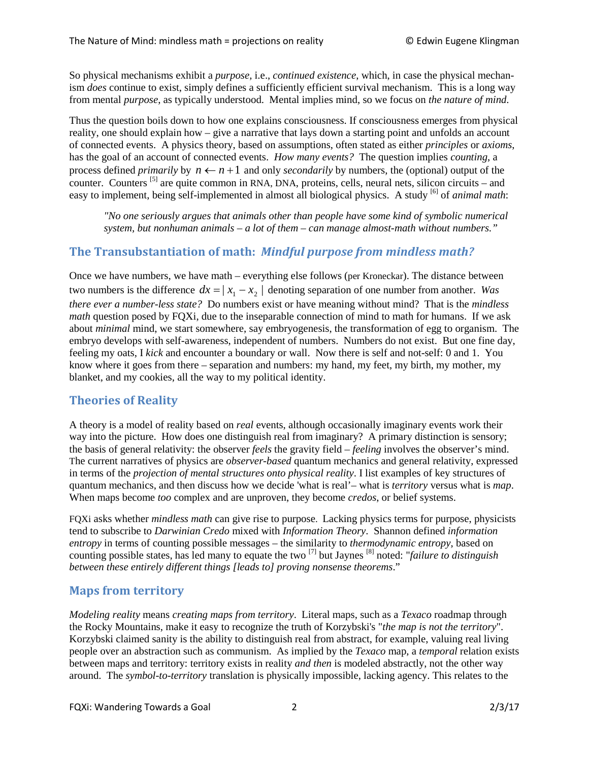So physical mechanisms exhibit a *purpose,* i.e., *continued existence*, which, in case the physical mechanism *does* continue to exist, simply defines a sufficiently efficient survival mechanism. This is a long way from mental *purpose*, as typically understood. Mental implies mind, so we focus on *the nature of mind*.

Thus the question boils down to how one explains consciousness. If consciousness emerges from physical reality, one should explain how – give a narrative that lays down a starting point and unfolds an account of connected events. A physics theory, based on assumptions, often stated as either *principles* or *axioms*, has the goal of an account of connected events. *How many events?* The question implies *counting*, a process defined *primarily* by  $n \leftarrow n+1$  and only *secondarily* by numbers, the (optional) output of the counter. Counters <sup>[5]</sup> are quite common in RNA, DNA, proteins, cells, neural nets, silicon circuits – and easy to implement, being self-implemented in almost all biological physics. A study <sup>[6]</sup> of *animal math*:

*"No one seriously argues that animals other than people have some kind of symbolic numerical system, but nonhuman animals – a lot of them – can manage almost-math without numbers."* 

### **The Transubstantiation of math:** *Mindful purpose from mindless math?*

Once we have numbers, we have math – everything else follows (per Kroneckar). The distance between two numbers is the difference  $dx = |x_1 - x_2|$  denoting separation of one number from another. *Was there ever a number-less state?* Do numbers exist or have meaning without mind? That is the *mindless math* question posed by FQXi, due to the inseparable connection of mind to math for humans. If we ask about *minimal* mind, we start somewhere, say embryogenesis, the transformation of egg to organism. The embryo develops with self-awareness, independent of numbers. Numbers do not exist. But one fine day, feeling my oats, I *kick* and encounter a boundary or wall. Now there is self and not-self: 0 and 1. You know where it goes from there – separation and numbers: my hand, my feet, my birth, my mother, my blanket, and my cookies, all the way to my political identity.

## **Theories of Reality**

A theory is a model of reality based on *real* events, although occasionally imaginary events work their way into the picture. How does one distinguish real from imaginary? A primary distinction is sensory; the basis of general relativity: the observer *feels* the gravity field – *feeling* involves the observer's mind. The current narratives of physics are *observer-based* quantum mechanics and general relativity, expressed in terms of the *projection of mental structures onto physical reality*. I list examples of key structures of quantum mechanics, and then discuss how we decide 'what is real'– what is *territory* versus what is *map*. When maps become *too* complex and are unproven, they become *credos*, or belief systems.

FQXi asks whether *mindless math* can give rise to purpose. Lacking physics terms for purpose, physicists tend to subscribe to *Darwinian Credo* mixed with *Information Theory*. Shannon defined *information entropy* in terms of counting possible messages – the similarity to *thermodynamic entropy*, based on counting possible states, has led many to equate the two [7] but Jaynes [8] noted: "*failure to distinguish between these entirely different things [leads to] proving nonsense theorems*."

## **Maps from territory**

*Modeling reality* means *creating maps from territory*. Literal maps, such as a *Texaco* roadmap through the Rocky Mountains, make it easy to recognize the truth of Korzybski's "*the map is not the territory*". Korzybski claimed sanity is the ability to distinguish real from abstract, for example, valuing real living people over an abstraction such as communism. As implied by the *Texaco* map, a *temporal* relation exists between maps and territory: territory exists in reality *and then* is modeled abstractly, not the other way around. The *symbol-to-territory* translation is physically impossible, lacking agency. This relates to the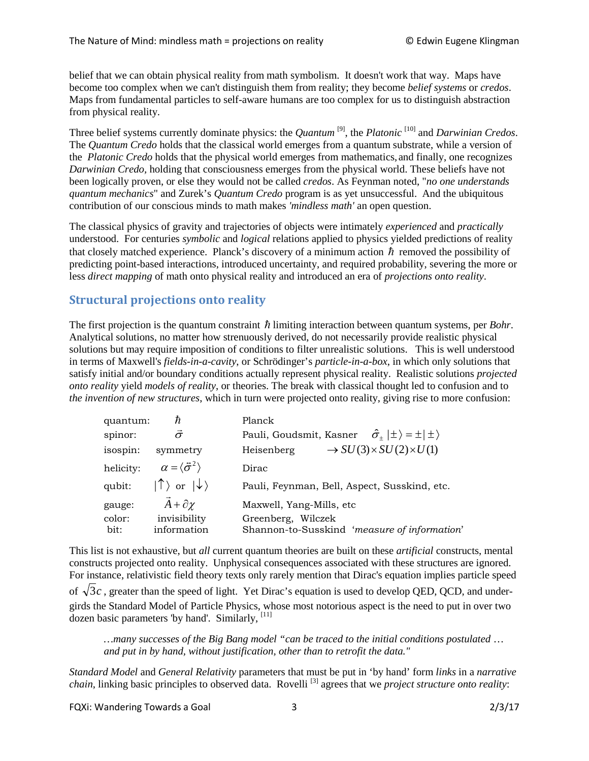belief that we can obtain physical reality from math symbolism. It doesn't work that way. Maps have become too complex when we can't distinguish them from reality; they become *belief systems* or *credos*. Maps from fundamental particles to self-aware humans are too complex for us to distinguish abstraction from physical reality.

Three belief systems currently dominate physics: the *Quantum* [9], the *Platonic* [10] and *Darwinian Credos*. The *Quantum Credo* holds that the classical world emerges from a quantum substrate, while a version of the *Platonic Credo* holds that the physical world emerges from mathematics, and finally, one recognizes *Darwinian Credo,* holding that consciousness emerges from the physical world. These beliefs have not been logically proven, or else they would not be called *credos*. As Feynman noted, "*no one understands quantum mechanics*" and Zurek's *Quantum Credo* program is as yet unsuccessful. And the ubiquitous contribution of our conscious minds to math makes *'mindless math'* an open question.

The classical physics of gravity and trajectories of objects were intimately *experienced* and *practically*  understood. For centuries *symbolic* and *logical* relations applied to physics yielded predictions of reality that closely matched experience. Planck's discovery of a minimum action  $\hbar$  removed the possibility of predicting point-based interactions, introduced uncertainty, and required probability, severing the more or less *direct mapping* of math onto physical reality and introduced an era of *projections onto reality*.

### **Structural projections onto reality**

The first projection is the quantum constraint  $\hbar$  limiting interaction between quantum systems, per *Bohr*. Analytical solutions, no matter how strenuously derived, do not necessarily provide realistic physical solutions but may require imposition of conditions to filter unrealistic solutions. This is well understood in terms of Maxwell's *fields-in-a-cavity*, or Schrödinger's *particle-in-a-box*, in which only solutions that satisfy initial and/or boundary conditions actually represent physical reality. Realistic solutions *projected onto reality* yield *models of reality*, or theories. The break with classical thought led to confusion and to *the invention of new structures*, which in turn were projected onto reality, giving rise to more confusion:

| quantum:  | ħ                                          | Planck                                                                     |
|-----------|--------------------------------------------|----------------------------------------------------------------------------|
| spinor:   | $\vec{\sigma}$                             | $\hat{\sigma}_{+} \pm\rangle = \pm  \pm\rangle$<br>Pauli, Goudsmit, Kasner |
| isospin:  | symmetry                                   | $\rightarrow SU(3) \times SU(2) \times U(1)$<br>Heisenberg                 |
| helicity: | $\alpha = \langle \vec{\sigma}^2 \rangle$  | Dirac                                                                      |
| qubit:    | $ \uparrow\rangle$ or $ \downarrow\rangle$ | Pauli, Feynman, Bell, Aspect, Susskind, etc.                               |
| gauge:    | $\vec{A} + \partial \chi$                  | Maxwell, Yang-Mills, etc                                                   |
| color:    | invisibility                               | Greenberg, Wilczek                                                         |
| bit:      | information                                | Shannon-to-Susskind 'measure of information'                               |

This list is not exhaustive, but *all* current quantum theories are built on these *artificial* constructs, mental constructs projected onto reality. Unphysical consequences associated with these structures are ignored. For instance, relativistic field theory texts only rarely mention that Dirac's equation implies particle speed of  $\sqrt{3}c$ , greater than the speed of light. Yet Dirac's equation is used to develop OED, OCD, and undergirds the Standard Model of Particle Physics, whose most notorious aspect is the need to put in over two dozen basic parameters 'by hand'. Similarly,  $^{[11]}$ 

*…many successes of the Big Bang model "can be traced to the initial conditions postulated* … *and put in by hand, without justification, other than to retrofit the data."* 

*Standard Model* and *General Relativity* parameters that must be put in 'by hand' form *links* in a *narrative chain*, linking basic principles to observed data. Rovelli<sup>[3]</sup> agrees that we *project structure onto reality*:

FQXi: Wandering Towards a Goal 3 2/3/17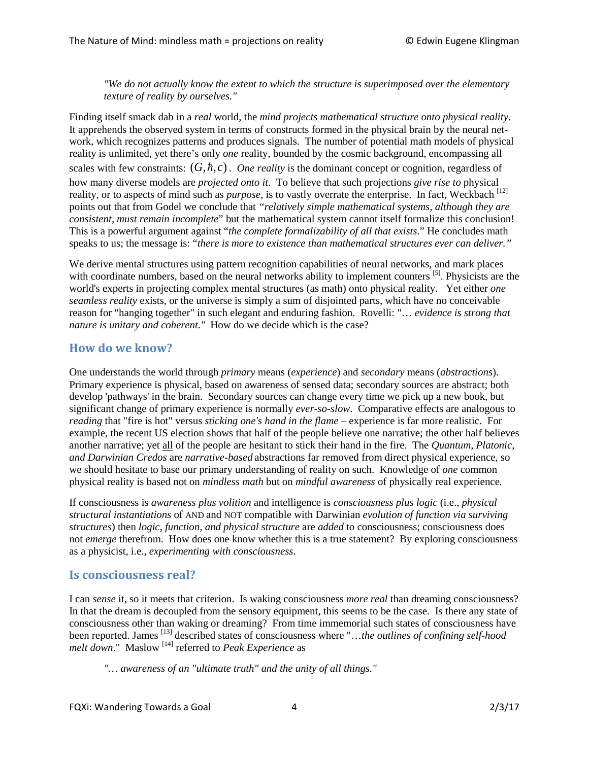*"We do not actually know the extent to which the structure is superimposed over the elementary texture of reality by ourselves."*

Finding itself smack dab in a *real* world, the *mind projects mathematical structure onto physical reality*. It apprehends the observed system in terms of constructs formed in the physical brain by the neural network, which recognizes patterns and produces signals. The number of potential math models of physical reality is unlimited, yet there's only *one* reality, bounded by the cosmic background, encompassing all scales with few constraints:  $(G, \hbar, c)$ . *One reality* is the dominant concept or cognition, regardless of how many diverse models are *projected onto it*. To believe that such projections *give rise to* physical reality, or to aspects of mind such as *purpose*, is to vastly overrate the enterprise. In fact, Weckbach <sup>[12]</sup> points out that from Godel we conclude that *"relatively simple mathematical systems, although they are consistent, must remain incomplete*" but the mathematical system cannot itself formalize this conclusion! This is a powerful argument against "*the complete formalizability of all that exists*." He concludes math speaks to us; the message is: "*there is more to existence than mathematical structures ever can deliver."*

We derive mental structures using pattern recognition capabilities of neural networks, and mark places with coordinate numbers, based on the neural networks ability to implement counters <sup>[5]</sup>. Physicists are the world's experts in projecting complex mental structures (as math) onto physical reality. Yet either *one seamless reality* exists, or the universe is simply a sum of disjointed parts, which have no conceivable reason for "hanging together" in such elegant and enduring fashion. Rovelli: "… *evidence is strong that nature is unitary and coherent."* How do we decide which is the case?

## **How do we know?**

One understands the world through *primary* means (*experience*) and *secondary* means (*abstractions*). Primary experience is physical, based on awareness of sensed data; secondary sources are abstract; both develop 'pathways' in the brain. Secondary sources can change every time we pick up a new book, but significant change of primary experience is normally *ever-so-slow*. Comparative effects are analogous to *reading* that "fire is hot" versus *sticking one's hand in the flame* – experience is far more realistic. For example, the recent US election shows that half of the people believe one narrative; the other half believes another narrative; yet all of the people are hesitant to stick their hand in the fire. The *Quantum, Platonic, and Darwinian Credos* are *narrative-based* abstractions far removed from direct physical experience, so we should hesitate to base our primary understanding of reality on such. Knowledge of *one* common physical reality is based not on *mindless math* but on *mindful awareness* of physically real experience*.*

If consciousness is *awareness plus volition* and intelligence is *consciousness plus logic* (i.e., *physical structural instantiations* of AND and NOT compatible with Darwinian *evolution of function via surviving structures*) then *logic, function, and physical structure* are *added* to consciousness; consciousness does not *emerge* therefrom. How does one know whether this is a true statement? By exploring consciousness as a physicist, i.e., *experimenting with consciousness*.

#### **Is consciousness real?**

I can *sense* it, so it meets that criterion. Is waking consciousness *more real* than dreaming consciousness? In that the dream is decoupled from the sensory equipment, this seems to be the case. Is there any state of consciousness other than waking or dreaming? From time immemorial such states of consciousness have been reported. James [13] described states of consciousness where "…*the outlines of confining self-hood melt down*." Maslow [14] referred to *Peak Experience* as

*"… awareness of an "ultimate truth" and the unity of all things."*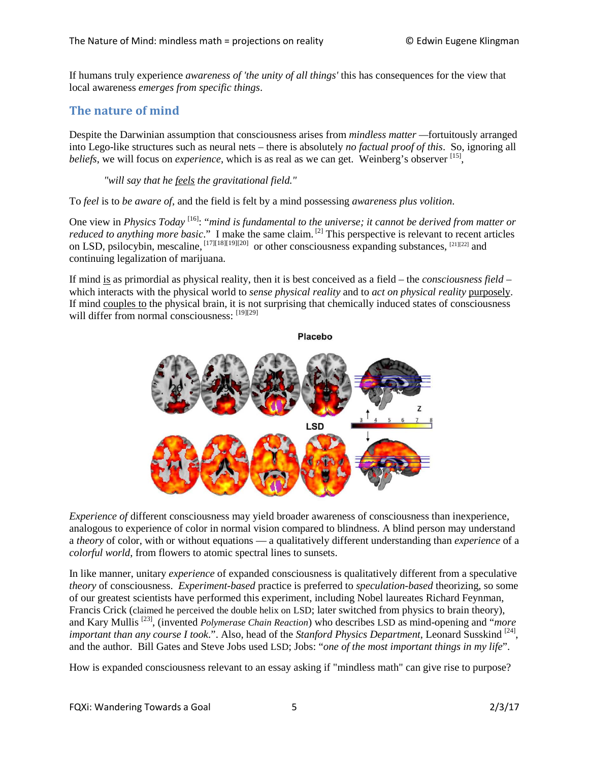If humans truly experience *awareness of 'the unity of all things'* this has consequences for the view that local awareness *emerges from specific things*.

## **The nature of mind**

Despite the Darwinian assumption that consciousness arises from *mindless matter —*fortuitously arranged into Lego-like structures such as neural nets – there is absolutely *no factual proof of this*. So, ignoring all *beliefs*, we will focus on *experience*, which is as real as we can get. Weinberg's observer <sup>[15]</sup>,

*"will say that he feels the gravitational field."*

To *feel* is to *be aware of*, and the field is felt by a mind possessing *awareness plus volition*.

One view in *Physics Today* <sup>[16]</sup>: "*mind is fundamental to the universe; it cannot be derived from matter or* reduced to anything more basic." I make the same claim. <sup>[2]</sup> This perspective is relevant to recent articles on LSD, psilocybin, mescaline, [17][18][19][20] or other consciousness expanding substances, [21][22] and continuing legalization of marijuana.

If mind is as primordial as physical reality, then it is best conceived as a field – the *consciousness field* – which interacts with the physical world to *sense physical reality* and to *act on physical reality* purposely. If mind couples to the physical brain, it is not surprising that chemically induced states of consciousness will differ from normal consciousness: [19][29]



*Experience of* different consciousness may yield broader awareness of consciousness than inexperience, analogous to experience of color in normal vision compared to blindness. A blind person may understand a *theory* of color, with or without equations — a qualitatively different understanding than *experience* of a *colorful world*, from flowers to atomic spectral lines to sunsets.

In like manner, unitary *experience* of expanded consciousness is qualitatively different from a speculative *theory* of consciousness. *Experiment-based* practice is preferred to *speculation-based* theorizing, so some of our greatest scientists have performed this experiment, including Nobel laureates Richard Feynman, Francis Crick (claimed he perceived the double helix on LSD; later switched from physics to brain theory), and Kary Mullis [23], (invented *Polymerase Chain Reaction*) who describes LSD as mind-opening and "*more important than any course I took.*". Also, head of the *Stanford Physics Department*, Leonard Susskind <sup>[24]</sup>. and the author. Bill Gates and Steve Jobs used LSD; Jobs: "*one of the most important things in my life*".

How is expanded consciousness relevant to an essay asking if "mindless math" can give rise to purpose?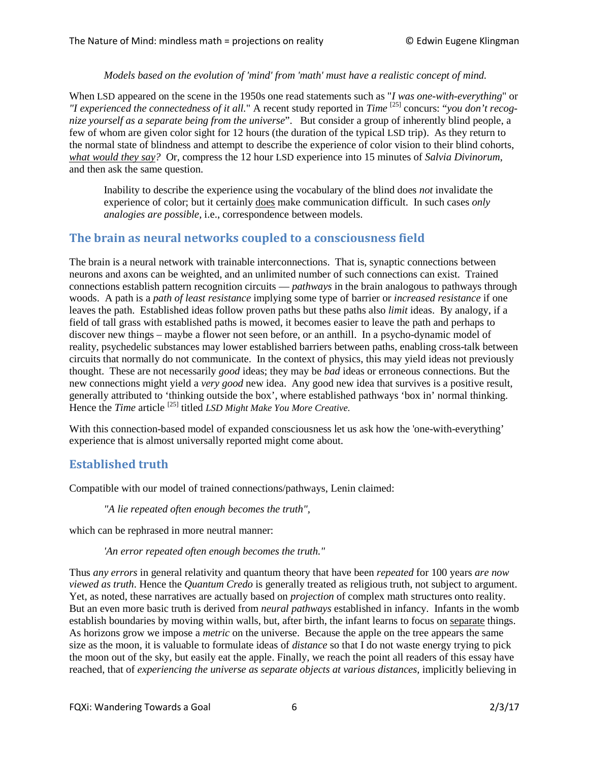*Models based on the evolution of 'mind' from 'math' must have a realistic concept of mind.* 

When LSD appeared on the scene in the 1950s one read statements such as "*I was one-with-everything*" or *"I experienced the connectedness of it all.*" A recent study reported in *Time* [25] concurs: "*you don't recognize yourself as a separate being from the universe*". But consider a group of inherently blind people, a few of whom are given color sight for 12 hours (the duration of the typical LSD trip). As they return to the normal state of blindness and attempt to describe the experience of color vision to their blind cohorts, *what would they say?* Or, compress the 12 hour LSD experience into 15 minutes of *Salvia Divinorum*, and then ask the same question.

Inability to describe the experience using the vocabulary of the blind does *not* invalidate the experience of color; but it certainly does make communication difficult. In such cases *only analogies are possible,* i.e., correspondence between models.

#### **The brain as neural networks coupled to a consciousness field**

The brain is a neural network with trainable interconnections. That is, synaptic connections between neurons and axons can be weighted, and an unlimited number of such connections can exist. Trained connections establish pattern recognition circuits — *pathways* in the brain analogous to pathways through woods. A path is a *path of least resistance* implying some type of barrier or *increased resistance* if one leaves the path. Established ideas follow proven paths but these paths also *limit* ideas. By analogy, if a field of tall grass with established paths is mowed, it becomes easier to leave the path and perhaps to discover new things – maybe a flower not seen before, or an anthill. In a psycho-dynamic model of reality, psychedelic substances may lower established barriers between paths, enabling cross-talk between circuits that normally do not communicate. In the context of physics, this may yield ideas not previously thought. These are not necessarily *good* ideas; they may be *bad* ideas or erroneous connections. But the new connections might yield a *very good* new idea. Any good new idea that survives is a positive result, generally attributed to 'thinking outside the box', where established pathways 'box in' normal thinking. Hence the *Time* article<sup>[25]</sup> titled *LSD Might Make You More Creative.* 

With this connection-based model of expanded consciousness let us ask how the 'one-with-everything' experience that is almost universally reported might come about.

#### **Established truth**

Compatible with our model of trained connections/pathways, Lenin claimed:

*"A lie repeated often enough becomes the truth",*

which can be rephrased in more neutral manner:

*'An error repeated often enough becomes the truth."*

Thus *any errors* in general relativity and quantum theory that have been *repeated* for 100 years *are now viewed as truth*. Hence the *Quantum Credo* is generally treated as religious truth, not subject to argument. Yet, as noted, these narratives are actually based on *projection* of complex math structures onto reality. But an even more basic truth is derived from *neural pathways* established in infancy. Infants in the womb establish boundaries by moving within walls, but, after birth, the infant learns to focus on separate things. As horizons grow we impose a *metric* on the universe. Because the apple on the tree appears the same size as the moon, it is valuable to formulate ideas of *distance* so that I do not waste energy trying to pick the moon out of the sky, but easily eat the apple. Finally, we reach the point all readers of this essay have reached, that of *experiencing the universe as separate objects at various distances,* implicitly believing in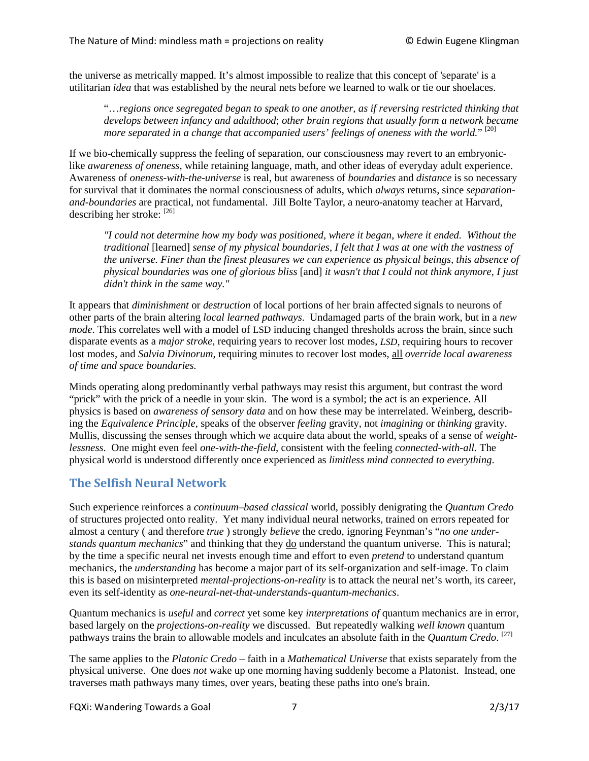the universe as metrically mapped. It's almost impossible to realize that this concept of 'separate' is a utilitarian *idea* that was established by the neural nets before we learned to walk or tie our shoelaces.

"…*regions once segregated began to speak to one another, as if reversing restricted thinking that develops between infancy and adulthood*; *other brain regions that usually form a network became more separated in a change that accompanied users' feelings of oneness with the world.*" [20]

If we bio-chemically suppress the feeling of separation, our consciousness may revert to an embryoniclike *awareness of oneness*, while retaining language, math, and other ideas of everyday adult experience. Awareness of *oneness-with-the-universe* is real, but awareness of *boundaries* and *distance* is so necessary for survival that it dominates the normal consciousness of adults, which *always* returns, since *separationand-boundaries* are practical, not fundamental. Jill Bolte Taylor, a neuro-anatomy teacher at Harvard, describing her stroke: [26]

*"I could not determine how my body was positioned, where it began, where it ended. Without the traditional* [learned] *sense of my physical boundaries, I felt that I was at one with the vastness of the universe. Finer than the finest pleasures we can experience as physical beings, this absence of physical boundaries was one of glorious bliss* [and] *it wasn't that I could not think anymore, I just didn't think in the same way."*

It appears that *diminishment* or *destruction* of local portions of her brain affected signals to neurons of other parts of the brain altering *local learned pathways*. Undamaged parts of the brain work, but in a *new mode*. This correlates well with a model of LSD inducing changed thresholds across the brain, since such disparate events as a *major stroke*, requiring years to recover lost modes, *LSD*, requiring hours to recover lost modes, and *Salvia Divinorum*, requiring minutes to recover lost modes, all *override local awareness of time and space boundaries.*

Minds operating along predominantly verbal pathways may resist this argument, but contrast the word "prick" with the prick of a needle in your skin. The word is a symbol; the act is an experience. All physics is based on *awareness of sensory data* and on how these may be interrelated. Weinberg, describing the *Equivalence Principle*, speaks of the observer *feeling* gravity, not *imagining* or *thinking* gravity. Mullis, discussing the senses through which we acquire data about the world, speaks of a sense of *weightlessness*. One might even feel *one-with-the-field*, consistent with the feeling *connected-with-all.* The physical world is understood differently once experienced as *limitless mind connected to everything*.

## **The Selfish Neural Network**

Such experience reinforces a *continuum–based classical* world, possibly denigrating the *Quantum Credo* of structures projected onto reality. Yet many individual neural networks, trained on errors repeated for almost a century ( and therefore *true* ) strongly *believe* the credo, ignoring Feynman's "*no one understands quantum mechanics*" and thinking that they do understand the quantum universe. This is natural; by the time a specific neural net invests enough time and effort to even *pretend* to understand quantum mechanics, the *understanding* has become a major part of its self-organization and self-image. To claim this is based on misinterpreted *mental-projections-on-reality* is to attack the neural net's worth, its career, even its self-identity as *one-neural-net-that-understands-quantum-mechanics*.

Quantum mechanics is *useful* and *correct* yet some key *interpretations of* quantum mechanics are in error, based largely on the *projections-on-reality* we discussed. But repeatedly walking *well known* quantum pathways trains the brain to allowable models and inculcates an absolute faith in the *Quantum Credo*.<sup>[27]</sup>

The same applies to the *Platonic Credo* – faith in a *Mathematical Universe* that exists separately from the physical universe. One does *not* wake up one morning having suddenly become a Platonist. Instead, one traverses math pathways many times, over years, beating these paths into one's brain.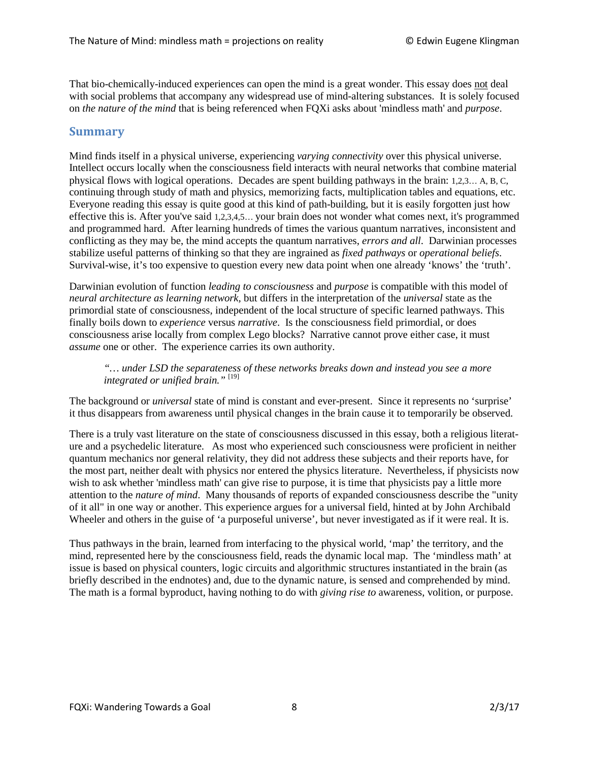That bio-chemically-induced experiences can open the mind is a great wonder. This essay does not deal with social problems that accompany any widespread use of mind-altering substances. It is solely focused on *the nature of the mind* that is being referenced when FQXi asks about 'mindless math' and *purpose*.

#### **Summary**

Mind finds itself in a physical universe, experiencing *varying connectivity* over this physical universe. Intellect occurs locally when the consciousness field interacts with neural networks that combine material physical flows with logical operations. Decades are spent building pathways in the brain: 1,2,3… A, B, C, continuing through study of math and physics, memorizing facts, multiplication tables and equations, etc. Everyone reading this essay is quite good at this kind of path-building, but it is easily forgotten just how effective this is. After you've said 1,2,3,4,5… your brain does not wonder what comes next, it's programmed and programmed hard. After learning hundreds of times the various quantum narratives, inconsistent and conflicting as they may be, the mind accepts the quantum narratives, *errors and all*. Darwinian processes stabilize useful patterns of thinking so that they are ingrained as *fixed pathways* or *operational beliefs*. Survival-wise, it's too expensive to question every new data point when one already 'knows' the 'truth'.

Darwinian evolution of function *leading to consciousness* and *purpose* is compatible with this model of *neural architecture as learning network,* but differs in the interpretation of the *universal* state as the primordial state of consciousness, independent of the local structure of specific learned pathways. This finally boils down to *experience* versus *narrative*. Is the consciousness field primordial, or does consciousness arise locally from complex Lego blocks? Narrative cannot prove either case, it must *assume* one or other. The experience carries its own authority.

*"… under LSD the separateness of these networks breaks down and instead you see a more integrated or unified brain."* [19]

The background or *universal* state of mind is constant and ever-present. Since it represents no 'surprise' it thus disappears from awareness until physical changes in the brain cause it to temporarily be observed.

There is a truly vast literature on the state of consciousness discussed in this essay, both a religious literature and a psychedelic literature. As most who experienced such consciousness were proficient in neither quantum mechanics nor general relativity, they did not address these subjects and their reports have, for the most part, neither dealt with physics nor entered the physics literature. Nevertheless, if physicists now wish to ask whether 'mindless math' can give rise to purpose, it is time that physicists pay a little more attention to the *nature of mind*. Many thousands of reports of expanded consciousness describe the "unity of it all" in one way or another. This experience argues for a universal field, hinted at by John Archibald Wheeler and others in the guise of 'a purposeful universe', but never investigated as if it were real. It is.

Thus pathways in the brain, learned from interfacing to the physical world, 'map' the territory, and the mind, represented here by the consciousness field, reads the dynamic local map. The 'mindless math' at issue is based on physical counters, logic circuits and algorithmic structures instantiated in the brain (as briefly described in the endnotes) and, due to the dynamic nature, is sensed and comprehended by mind. The math is a formal byproduct, having nothing to do with *giving rise to* awareness, volition, or purpose.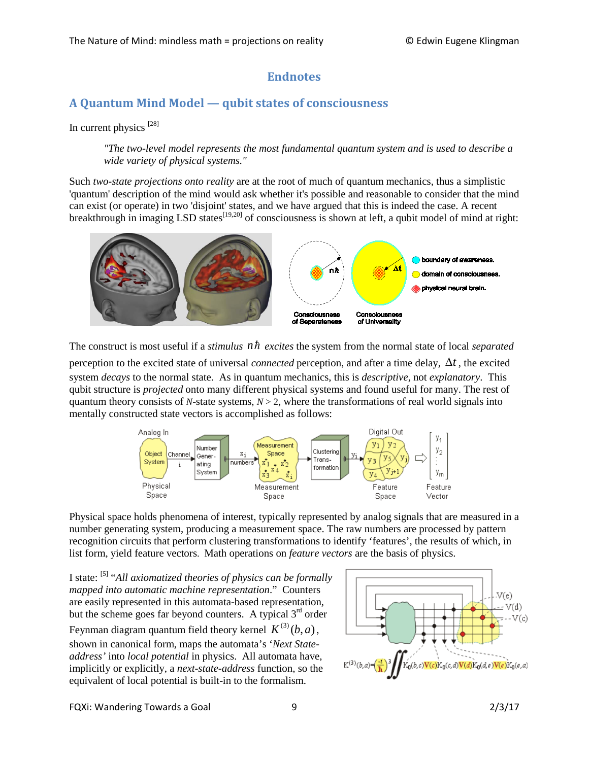## **Endnotes**

## **A Quantum Mind Model — qubit states of consciousness**

In current physics  $^{[28]}$ 

*"The two-level model represents the most fundamental quantum system and is used to describe a wide variety of physical systems."*

Such *two-state projections onto reality* are at the root of much of quantum mechanics, thus a simplistic 'quantum' description of the mind would ask whether it's possible and reasonable to consider that the mind can exist (or operate) in two 'disjoint' states, and we have argued that this is indeed the case. A recent breakthrough in imaging LSD states<sup>[19,20]</sup> of consciousness is shown at left, a qubit model of mind at right:



The construct is most useful if a *stimulus nh* excites the system from the normal state of local *separated* perception to the excited state of universal *connected* perception, and after a time delay, ∆*t* , the excited system *decays* to the normal state. As in quantum mechanics, this is *descriptive*, not *explanatory*. This qubit structure is *projected* onto many different physical systems and found useful for many. The rest of quantum theory consists of *N*-state systems, *N* > 2, where the transformations of real world signals into mentally constructed state vectors is accomplished as follows:



Physical space holds phenomena of interest, typically represented by analog signals that are measured in a number generating system, producing a measurement space. The raw numbers are processed by pattern recognition circuits that perform clustering transformations to identify 'features', the results of which, in list form, yield feature vectors. Math operations on *feature vectors* are the basis of physics.

I state: [5] "*All axiomatized theories of physics can be formally mapped into automatic machine representation*." Counters are easily represented in this automata-based representation, but the scheme goes far beyond counters. A typical  $3<sup>rd</sup>$  order Feynman diagram quantum field theory kernel  $K^{(3)}(b, a)$ , shown in canonical form, maps the automata's '*Next Stateaddress'* into *local potential* in physics. All automata have, implicitly or explicitly, a *next-state-address* function, so the equivalent of local potential is built-in to the formalism.



FQXi: Wandering Towards a Goal 9 2/3/17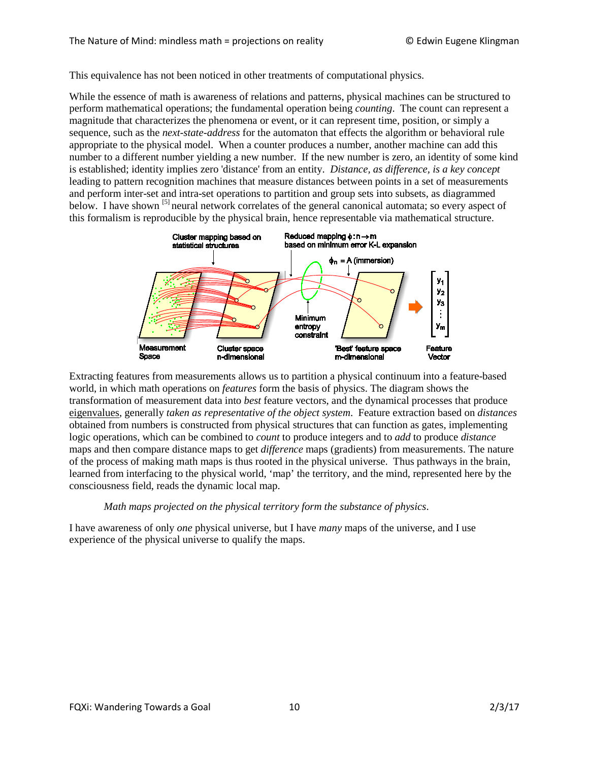This equivalence has not been noticed in other treatments of computational physics.

While the essence of math is awareness of relations and patterns, physical machines can be structured to perform mathematical operations; the fundamental operation being *counting*. The count can represent a magnitude that characterizes the phenomena or event, or it can represent time, position, or simply a sequence, such as the *next-state-address* for the automaton that effects the algorithm or behavioral rule appropriate to the physical model. When a counter produces a number, another machine can add this number to a different number yielding a new number. If the new number is zero, an identity of some kind is established; identity implies zero 'distance' from an entity. *Distance, as difference, is a key concept* leading to pattern recognition machines that measure distances between points in a set of measurements and perform inter-set and intra-set operations to partition and group sets into subsets, as diagrammed below. I have shown <sup>[5]</sup> neural network correlates of the general canonical automata; so every aspect of this formalism is reproducible by the physical brain, hence representable via mathematical structure.



Extracting features from measurements allows us to partition a physical continuum into a feature-based world, in which math operations on *features* form the basis of physics. The diagram shows the transformation of measurement data into *best* feature vectors, and the dynamical processes that produce eigenvalues, generally *taken as representative of the object system*. Feature extraction based on *distances* obtained from numbers is constructed from physical structures that can function as gates, implementing logic operations, which can be combined to *count* to produce integers and to *add* to produce *distance* maps and then compare distance maps to get *difference* maps (gradients) from measurements. The nature of the process of making math maps is thus rooted in the physical universe. Thus pathways in the brain, learned from interfacing to the physical world, 'map' the territory, and the mind, represented here by the consciousness field, reads the dynamic local map.

#### *Math maps projected on the physical territory form the substance of physics*.

I have awareness of only *one* physical universe, but I have *many* maps of the universe, and I use experience of the physical universe to qualify the maps.